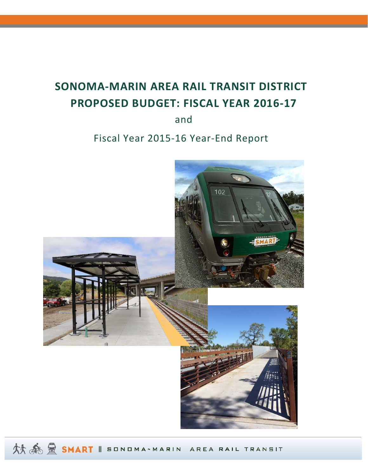# **SONOMA‐MARIN AREA RAIL TRANSIT DISTRICT PROPOSED BUDGET: FISCAL YEAR 2016‐17**

and

## Fiscal Year 2015‐16 Year‐End Report



**林泰登 SMART** || SONDMA-MARIN AREA RAIL TRANSIT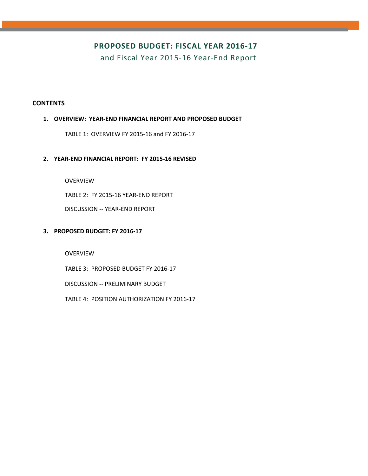### **PROPOSED BUDGET: FISCAL YEAR 2016‐17**

and Fiscal Year 2015‐16 Year‐End Report

### **CONTENTS**

### **1. OVERVIEW: YEAR‐END FINANCIAL REPORT AND PROPOSED BUDGET**

TABLE 1: OVERVIEW FY 2015‐16 and FY 2016‐17

### **2. YEAR‐END FINANCIAL REPORT: FY 2015‐16 REVISED**

OVERVIEW

TABLE 2: FY 2015‐16 YEAR‐END REPORT

DISCUSSION ‐‐ YEAR‐END REPORT

### **3. PROPOSED BUDGET: FY 2016‐17**

OVERVIEW

TABLE 3: PROPOSED BUDGET FY 2016‐17

DISCUSSION ‐‐ PRELIMINARY BUDGET

TABLE 4: POSITION AUTHORIZATION FY 2016‐17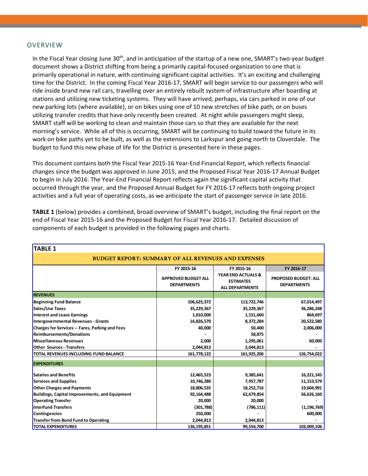#### OVERVIEW

In the Fiscal Year closing June 30<sup>th</sup>, and in anticipation of the startup of a new one, SMART's two-year budget document shows a District shifting from being a primarily capital‐focused organization to one that is primarily operational in nature, with continuing significant capital activities. It's an exciting and challenging time for the District. In the coming Fiscal Year 2016‐17, SMART will begin service to our passengers who will ride inside brand new rail cars, travelling over an entirely rebuilt system of infrastructure after boarding at stations and utilizing new ticketing systems. They will have arrived, perhaps, via cars parked in one of our new parking lots (where available), or on bikes using one of 10 new stretches of bike path, or on buses utilizing transfer credits that have only recently been created. At night while passengers might sleep, SMART staff will be working to clean and maintain those cars so that they are available for the next morning's service. While all of this is occurring, SMART will be continuing to build toward the future in its work on bike paths yet to be built, as well as the extensions to Larkspur and going north to Cloverdale. The budget to fund this new phase of life for the District is presented here in these pages.

This document contains both the Fiscal Year 2015‐16 Year‐End Financial Report, which reflects financial changes since the budget was approved in June 2015, and the Proposed Fiscal Year 2016‐17 Annual Budget to begin in July 2016. The Year‐End Financial Report reflects again the significant capital activity that occurred through the year, and the Proposed Annual Budget for FY 2016‐17 reflects both ongoing project activities and a full year of operating costs, as we anticipate the start of passenger service in late 2016.

**TABLE 1** (below) provides a combined, broad overview of SMART's budget, including the final report on the end of Fiscal Year 2015‐16 and the Proposed Budget for Fiscal Year 2016‐17. Detailed discussion of components of each budget is provided in the following pages and charts.

| TABLE 1                                                    |                                                  |                                                                             |                                                   |
|------------------------------------------------------------|--------------------------------------------------|-----------------------------------------------------------------------------|---------------------------------------------------|
| <b>BUDGET REPORT: SUMMARY OF ALL REVENUES AND EXPENSES</b> |                                                  |                                                                             |                                                   |
|                                                            | FY 2015-16                                       | FY 2015-16                                                                  | FY 2016-17                                        |
|                                                            | <b>APPROVED BUDGET ALL</b><br><b>DEPARTMENTS</b> | <b>YEAR END ACTUALS &amp;</b><br><b>ESTIMATES</b><br><b>ALL DEPARTMENTS</b> | <b>PROPOSED BUDGET: ALL</b><br><b>DEPARTMENTS</b> |
| <b>REVENUES</b>                                            |                                                  |                                                                             |                                                   |
| <b>Beginning Fund Balance</b>                              | 106,625,372                                      | 113,722,746                                                                 | 67,014,497                                        |
| Sales/Use Taxes                                            | 35,229,367                                       | 35,229,367                                                                  | 36,286,248                                        |
| Interest and Lease Earnings                                | 1,010,000                                        | 1,151,660                                                                   | 864,697                                           |
| Intergovernmental Revenues - Grants                        | 16,826,570                                       | 8,372,284                                                                   | 20,522,580                                        |
| Charges for Services -- Fares, Parking and Fees            | 40,000                                           | 50,400                                                                      | 2,006,000                                         |
| <b>Reimbursements/Donations</b>                            |                                                  | 58,875                                                                      |                                                   |
| Miscellaneous Revenues                                     | 2,000                                            | 1,295,061                                                                   | 60,000                                            |
| <b>Other Sources - Transfers</b>                           | 2,044,813                                        | 2,044,813                                                                   |                                                   |
| TOTAL REVENUES INCLUDING FUND BALANCE                      | 161,778,122                                      | 161,925,206                                                                 | 126,754,022                                       |
| <b>EXPENDITURES</b>                                        |                                                  |                                                                             |                                                   |
| <b>Salaries and Benefits</b>                               | 12,465,523                                       | 9,385,641                                                                   | 16,221,145                                        |
| Services and Supplies                                      | 10,746,280                                       | 7,957,787                                                                   | 11, 153, 579                                      |
| <b>Other Charges and Payments</b>                          | 18,806,535                                       | 18,252,716                                                                  | 19,604,991                                        |
| Buildings, Capital Improvements, and Equipment             | 92,164,488                                       | 62,679,854                                                                  | 56,626,160                                        |
| <b>Operating Transfer</b>                                  | 20,000                                           | 20,000                                                                      |                                                   |
| Interfund Transfers                                        | (301,788)                                        | (786, 111)                                                                  | (1, 196, 769)                                     |
| Contingencies                                              | 250,000                                          |                                                                             | 600,000                                           |
| Transfer from Bond Fund to Operating                       | 2,044,813                                        | 2,044,813                                                                   |                                                   |
| <b>TOTAL EXPENDITURES</b>                                  | 136,195,851                                      | 99,554,700                                                                  | 103,009,106                                       |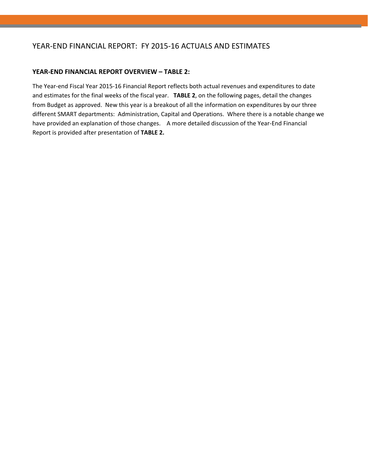### YEAR‐END FINANCIAL REPORT: FY 2015‐16 ACTUALS AND ESTIMATES

### **YEAR‐END FINANCIAL REPORT OVERVIEW – TABLE 2:**

The Year‐end Fiscal Year 2015‐16 Financial Report reflects both actual revenues and expenditures to date and estimates for the final weeks of the fiscal year. **TABLE 2**, on the following pages, detail the changes from Budget as approved. New this year is a breakout of all the information on expenditures by our three different SMART departments: Administration, Capital and Operations. Where there is a notable change we have provided an explanation of those changes. A more detailed discussion of the Year-End Financial Report is provided after presentation of **TABLE 2.**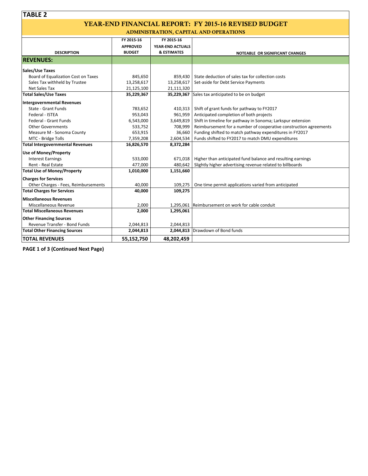### YEAR-END FINANCIAL REPORT: FY 2015-16 REVISED BUDGET ADMINISTRATION, CAPITAL AND OPERATIONS

|                                         |                 |                        | $\frac{1}{2}$                                                     |
|-----------------------------------------|-----------------|------------------------|-------------------------------------------------------------------|
|                                         | FY 2015-16      | FY 2015-16             |                                                                   |
|                                         | <b>APPROVED</b> | YEAR-END ACTUALS       |                                                                   |
| <b>DESCRIPTION</b>                      | <b>BUDGET</b>   | <b>&amp; ESTIMATES</b> | NOTEABLE OR SIGNIFICANT CHANGES                                   |
| <b>REVENUES:</b>                        |                 |                        |                                                                   |
| Sales/Use Taxes                         |                 |                        |                                                                   |
| Board of Equalization Cost on Taxes     | 845,650         | 859,430                | State deduction of sales tax for collection costs                 |
| Sales Tax withheld by Trustee           | 13,258,617      | 13,258,617             | Set-aside for Debt Service Payments                               |
| Net Sales Tax                           | 21,125,100      | 21,111,320             |                                                                   |
| <b>Total Sales/Use Taxes</b>            | 35,229,367      |                        | 35,229,367 Sales tax anticipated to be on budget                  |
| Intergovernmental Revenues              |                 |                        |                                                                   |
| State - Grant Funds                     | 783,652         | 410,313                | Shift of grant funds for pathway to FY2017                        |
| Federal - ISTEA                         | 953,043         | 961,959                | Anticipated completion of both projects                           |
| <b>Federal - Grant Funds</b>            | 6,543,000       | 3,649,819              | Shift in timeline for pathway in Sonoma; Larkspur extension       |
| <b>Other Governments</b>                | 533,752         | 708,999                | Reimbursement for a number of cooperative construction agreements |
| Measure M - Sonoma County               | 653,915         | 36,660                 | Funding shifted to match pathway expenditures in FY2017           |
| MTC - Bridge Tolls                      | 7,359,208       | 2,604,534              | Funds shifted to FY2017 to match DMU expenditures                 |
| <b>Total Intergovernmental Revenues</b> | 16,826,570      | 8,372,284              |                                                                   |
| <b>Use of Money/Property</b>            |                 |                        |                                                                   |
| <b>Interest Earnings</b>                | 533,000         | 671,018                | Higher than anticipated fund balance and resulting earnings       |
| Rent - Real Estate                      | 477,000         | 480,642                | Slightly higher advertising revenue related to billboards         |
| <b>Total Use of Money/Property</b>      | 1,010,000       | 1,151,660              |                                                                   |
| <b>Charges for Services</b>             |                 |                        |                                                                   |
| Other Charges - Fees, Reimbursements    | 40.000          | 109,275                | One time permit applications varied from anticipated              |
| <b>Total Charges for Services</b>       | 40,000          | 109,275                |                                                                   |
| <b>Miscellaneous Revenues</b>           |                 |                        |                                                                   |
| Miscellaneous Revenue                   | 2,000           |                        | 1,295,061 Reimbursement on work for cable conduit                 |
| <b>Total Miscellaneous Revenues</b>     | 2,000           | 1,295,061              |                                                                   |
| <b>Other Financing Sources</b>          |                 |                        |                                                                   |
| Revenue Transfer - Bond Funds           | 2,044,813       | 2,044,813              |                                                                   |
| <b>Total Other Financing Sources</b>    | 2,044,813       |                        | 2,044,813 Drawdown of Bond funds                                  |
| <b>TOTAL REVENUES</b>                   | 55,152,750      | 48,202,459             |                                                                   |

**PAGE 1 of 3 (Continued Next Page)**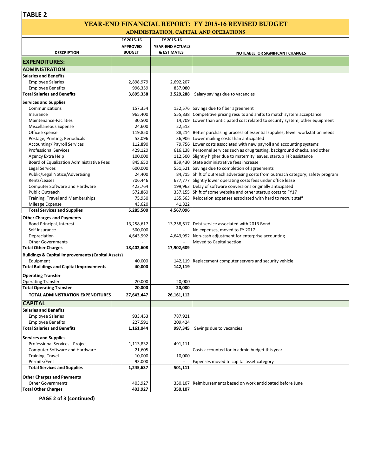#### YEAR-END FINANCIAL REPORT: FY 2015-16 REVISED BUDGET ADMINISTRATION, CAPITAL AND OPERATIONS

| <u>ADMINISTRATION, CAPITAL AND OPERATIONS</u>                |                 |                        |                                                                                   |  |  |  |
|--------------------------------------------------------------|-----------------|------------------------|-----------------------------------------------------------------------------------|--|--|--|
|                                                              | FY 2015-16      | FY 2015-16             |                                                                                   |  |  |  |
|                                                              | <b>APPROVED</b> | YEAR-END ACTUALS       |                                                                                   |  |  |  |
| <b>DESCRIPTION</b>                                           | <b>BUDGET</b>   | <b>&amp; ESTIMATES</b> | NOTEABLE OR SIGNIFICANT CHANGES                                                   |  |  |  |
| <b>EXPENDITURES:</b>                                         |                 |                        |                                                                                   |  |  |  |
| <b>ADMINISTRATION</b>                                        |                 |                        |                                                                                   |  |  |  |
| <b>Salaries and Benefits</b>                                 |                 |                        |                                                                                   |  |  |  |
| <b>Employee Salaries</b>                                     | 2,898,979       | 2,692,207              |                                                                                   |  |  |  |
| <b>Employee Benefits</b>                                     | 996,359         | 837,080                |                                                                                   |  |  |  |
| <b>Total Salaries and Benefits</b>                           | 3,895,338       | 3,529,288              | Salary savings due to vacancies                                                   |  |  |  |
| <b>Services and Supplies</b>                                 |                 |                        |                                                                                   |  |  |  |
| Communications                                               | 157,354         |                        | 132,576 Savings due to fiber agreement                                            |  |  |  |
| Insurance                                                    | 965,400         |                        | 555,838 Competitive pricing results and shifts to match system acceptance         |  |  |  |
| Maintenance-Facilities                                       | 30,500          |                        | 14,709 Lower than anticipated cost related to security system, other equipment    |  |  |  |
| Miscellaneous Expense                                        | 24,600          | 22,513                 |                                                                                   |  |  |  |
| Office Expense                                               | 119,850         |                        | 88,214 Better purchasing process of essential supplies, fewer workstation needs   |  |  |  |
| Postage, Printing, Periodicals                               | 53,096          |                        | 36,906 Lower mailing costs than anticipated                                       |  |  |  |
| <b>Accounting/Payroll Services</b>                           | 112,890         |                        | 79,756 Lower costs associated with new payroll and accounting systems             |  |  |  |
| <b>Professional Services</b>                                 | 429,120         |                        | 616,138 Personnel services such as drug testing, background checks, and other     |  |  |  |
| Agency Extra Help                                            | 100,000         |                        | 112,500 Slightly higher due to maternity leaves, startup HR assistance            |  |  |  |
| Board of Equalization Administrative Fees                    | 845,650         |                        | 859,430 State administrative fees increase                                        |  |  |  |
| Legal Services                                               | 600,000         |                        | 551,521 Savings due to completion of agreements                                   |  |  |  |
| Public/Legal Notice/Advertising                              | 24,400          |                        | 84,715 Shift of outreach advertising costs from outreach category; safety program |  |  |  |
| Rents/Leases                                                 | 706,446         |                        | 677,777 Slightly lower operating costs fees under office lease                    |  |  |  |
| <b>Computer Software and Hardware</b>                        | 423,764         |                        | 199,963 Delay of software conversions originally anticipated                      |  |  |  |
| <b>Public Outreach</b>                                       | 572,860         |                        | 337,155 Shift of some website and other startup costs to FY17                     |  |  |  |
| Training, Travel and Memberships                             | 75,950          |                        | 155,563 Relocation expenses associated with hard to recruit staff                 |  |  |  |
| Mileage Expense                                              | 43,620          | 41,822                 |                                                                                   |  |  |  |
| <b>Total Services and Supplies</b>                           | 5,285,500       | 4,567,096              |                                                                                   |  |  |  |
| <b>Other Charges and Payments</b>                            |                 |                        |                                                                                   |  |  |  |
| Bond Principal, Interest                                     | 13,258,617      |                        | 13,258,617   Debt service associated with 2013 Bond                               |  |  |  |
| Self Insurance                                               | 500,000         |                        | No expenses, moved to FY 2017                                                     |  |  |  |
| Depreciation                                                 | 4,643,992       |                        | 4,643,992 Non-cash adjustment for enterprise accounting                           |  |  |  |
| <b>Other Governments</b>                                     |                 |                        | Moved to Capital section                                                          |  |  |  |
| <b>Total Other Charges</b>                                   | 18,402,608      | 17,902,609             |                                                                                   |  |  |  |
| <b>Buildings &amp; Capital Improvements (Capital Assets)</b> |                 |                        |                                                                                   |  |  |  |
| Equipment                                                    | 40,000          |                        | 142,119 Replacement computer servers and security vehicle                         |  |  |  |
| <b>Total Buildings and Capital Improvements</b>              | 40,000          | 142,119                |                                                                                   |  |  |  |
| <b>Operating Transfer</b>                                    |                 |                        |                                                                                   |  |  |  |
| <b>Operating Transfer</b>                                    | 20,000          | 20,000                 |                                                                                   |  |  |  |
| <b>Total Operating Transfer</b>                              | 20,000          | 20,000                 |                                                                                   |  |  |  |
| TOTAL ADMINISTRATION EXPENDITURES                            | 27,643,447      | 26,161,112             |                                                                                   |  |  |  |
|                                                              |                 |                        |                                                                                   |  |  |  |
| <b>CAPITAL</b>                                               |                 |                        |                                                                                   |  |  |  |
| <b>Salaries and Benefits</b>                                 |                 |                        |                                                                                   |  |  |  |
| <b>Employee Salaries</b>                                     | 933,453         | 787,921                |                                                                                   |  |  |  |
| <b>Employee Benefits</b>                                     | 227,591         | 209,424                |                                                                                   |  |  |  |
| <b>Total Salaries and Benefits</b>                           | 1,161,044       | 997,345                | Savings due to vacancies                                                          |  |  |  |
| <b>Services and Supplies</b>                                 |                 |                        |                                                                                   |  |  |  |
| Professional Services - Project                              | 1,113,832       | 491,111                |                                                                                   |  |  |  |
| <b>Computer Software and Hardware</b>                        | 21,605          |                        | Costs accounted for in admin budget this year                                     |  |  |  |
| Training, Travel                                             | 10,000          | 10,000                 |                                                                                   |  |  |  |
| Permits/Fees                                                 | 93,000          |                        | Expenses moved to capital asset category                                          |  |  |  |
| <b>Total Services and Supplies</b>                           | 1,245,637       | 501,111                |                                                                                   |  |  |  |
| <b>Other Charges and Payments</b>                            |                 |                        |                                                                                   |  |  |  |
| <b>Other Governments</b>                                     | 403,927         | 350,107                | Reimbursements based on work anticipated before June                              |  |  |  |
| <b>Total Other Charges</b>                                   | 403,927         | 350,107                |                                                                                   |  |  |  |
|                                                              |                 |                        |                                                                                   |  |  |  |

**PAGE 2 of 3 (continued)**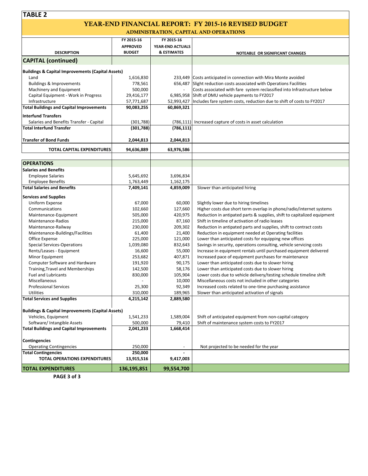#### YEAR-END FINANCIAL REPORT: FY 2015-16 REVISED BUDGET ADMINISTRATION, CAPITAL AND OPERATIONS

| <u>ADMINISTRATION, CAPITAL AND OPERATIONS</u>                |                 |                        |                                                                                    |  |  |  |
|--------------------------------------------------------------|-----------------|------------------------|------------------------------------------------------------------------------------|--|--|--|
|                                                              | FY 2015-16      | FY 2015-16             |                                                                                    |  |  |  |
|                                                              | <b>APPROVED</b> | YEAR-END ACTUALS       |                                                                                    |  |  |  |
| <b>DESCRIPTION</b>                                           | <b>BUDGET</b>   | <b>&amp; ESTIMATES</b> | NOTEABLE OR SIGNIFICANT CHANGES                                                    |  |  |  |
| <b>CAPITAL (continued)</b>                                   |                 |                        |                                                                                    |  |  |  |
|                                                              |                 |                        |                                                                                    |  |  |  |
| <b>Buildings &amp; Capital Improvements (Capital Assets)</b> |                 |                        |                                                                                    |  |  |  |
| Land                                                         | 1,616,830       |                        | 233,449 Costs anticipated in connection with Mira Monte avoided                    |  |  |  |
| <b>Buildings &amp; Improvements</b>                          | 778,561         |                        | 656,487 Slight reduction costs associated with Operations Facilities               |  |  |  |
| Machinery and Equipment                                      | 500,000         |                        | Costs associated with fare system reclassified into Infrastructure below           |  |  |  |
| Capital Equipment - Work in Progress                         | 29,416,177      |                        | 6,985,958 Shift of DMU vehicle payments to FY2017                                  |  |  |  |
| Infrastructure                                               | 57,771,687      |                        | 52,993,427   Includes fare system costs, reduction due to shift of costs to FY2017 |  |  |  |
| <b>Total Buildings and Capital Improvements</b>              | 90,083,255      | 60,869,321             |                                                                                    |  |  |  |
| <b>Interfund Transfers</b>                                   |                 |                        |                                                                                    |  |  |  |
| Salaries and Benefits Transfer - Capital                     | (301, 788)      | (786, 111)             | Increased capture of costs in asset calculation                                    |  |  |  |
| <b>Total Interfund Transfer</b>                              | (301, 788)      | (786, 111)             |                                                                                    |  |  |  |
| <b>Transfer of Bond Funds</b>                                | 2,044,813       | 2,044,813              |                                                                                    |  |  |  |
| TOTAL CAPITAL EXPENDITURES                                   | 94,636,889      | 63,976,586             |                                                                                    |  |  |  |
|                                                              |                 |                        |                                                                                    |  |  |  |
| <b>OPERATIONS</b>                                            |                 |                        |                                                                                    |  |  |  |
| <b>Salaries and Benefits</b>                                 |                 |                        |                                                                                    |  |  |  |
| <b>Employee Salaries</b>                                     | 5,645,692       | 3,696,834              |                                                                                    |  |  |  |
| <b>Employee Benefits</b>                                     | 1,763,449       | 1,162,175              |                                                                                    |  |  |  |
| <b>Total Salaries and Benefits</b>                           | 7,409,141       | 4,859,009              | Slower than anticipated hiring                                                     |  |  |  |
| <b>Services and Supplies</b>                                 |                 |                        |                                                                                    |  |  |  |
| Uniform Expense                                              | 67,000          | 60,000                 | Slightly lower due to hiring timelines                                             |  |  |  |
| Communications                                               | 102,660         | 127,660                | Higher costs due short term overlap in phone/radio/internet systems                |  |  |  |
| Maintenance-Equipment                                        | 505,000         | 420,975                | Reduction in antipated parts & supplies, shift to capitalized equipment            |  |  |  |
| Maintenance-Radios                                           | 215,000         | 87,160                 | Shift in timeline of activation of radio leases                                    |  |  |  |
| Maintenance-Railway                                          | 230,000         | 209,302                | Reduction in antipated parts and supplies, shift to contract costs                 |  |  |  |
| Maintenance-Buildings/Facilities                             | 61,400          | 21,400                 | Reduction in equipment needed at Operating facilities                              |  |  |  |
| Office Expense                                               | 225,000         | 121,000                | Lower than anticipated costs for equipping new offices                             |  |  |  |
| <b>Special Services-Operations</b>                           | 1,039,080       | 832,643                | Savings in security, operations consulting, vehicle servicing costs                |  |  |  |
| Rents/Leases - Equipment                                     | 16,600          | 55,000                 | Increase in equipment rentals until purchased equipment delivered                  |  |  |  |
| Minor Equipment                                              | 253,682         | 407,871                | Increased pace of equipment purchases for maintenance                              |  |  |  |
| Computer Software and Hardware                               | 191,920         | 90,175                 | Lower than anticipated costs due to slower hiring                                  |  |  |  |
| Training, Travel and Memberships                             | 142,500         | 58,176                 | Lower than anticipated costs due to slower hiring                                  |  |  |  |
| <b>Fuel and Lubricants</b>                                   | 830,000         | 105,904                | Lower costs due to vehicle delivery/testing schedule timeline shift                |  |  |  |
| Miscellaneous                                                |                 | 10,000                 | Miscellaneous costs not included in other categories                               |  |  |  |
| <b>Professional Services</b>                                 | 25,300          | 92,349                 | Increased costs related to one-time purchasing assistance                          |  |  |  |
| Utilities                                                    | 310,000         | 189,965                | Slower than anticipated activation of signals                                      |  |  |  |
| <b>Total Services and Supplies</b>                           | 4,215,142       | 2,889,580              |                                                                                    |  |  |  |
|                                                              |                 |                        |                                                                                    |  |  |  |
| <b>Buildings &amp; Capital Improvements (Capital Assets)</b> |                 |                        |                                                                                    |  |  |  |
| Vehicles, Equipment                                          | 1,541,233       | 1,589,004              | Shift of anticipated equipment from non-capital category                           |  |  |  |
| Software/ Intangible Assets                                  | 500,000         | 79,410                 | Shift of maintenance system costs to FY2017                                        |  |  |  |
| <b>Total Buildings and Capital Improvements</b>              | 2,041,233       | 1,668,414              |                                                                                    |  |  |  |
| <b>Contingencies</b>                                         |                 |                        |                                                                                    |  |  |  |
| <b>Operating Contingencies</b>                               | 250,000         |                        | Not projected to be needed for the year                                            |  |  |  |
| <b>Total Contingencies</b>                                   | 250,000         |                        |                                                                                    |  |  |  |
| <b>TOTAL OPERATIONS EXPENDITURES</b>                         | 13,915,516      | 9,417,003              |                                                                                    |  |  |  |
| <b>TOTAL EXPENDITURES</b>                                    | 136,195,851     | 99,554,700             |                                                                                    |  |  |  |

**PAGE 3 of 3**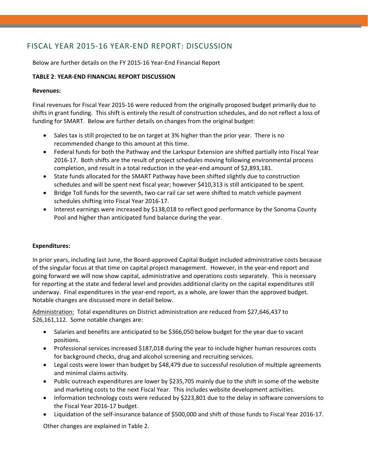### FISCAL YEAR 2015‐16 YEAR‐END REPORT: DISCUSSION

Below are further details on the FY 2015‐16 Year‐End Financial Report

### **TABLE 2**: **YEAR‐END FINANCIAL REPORT DISCUSSION**

### **Revenues:**

Final revenues for Fiscal Year 2015‐16 were reduced from the originally proposed budget primarily due to shifts in grant funding. This shift is entirely the result of construction schedules, and do not reflect a loss of funding for SMART. Below are further details on changes from the original budget:

- Sales tax is still projected to be on target at 3% higher than the prior year. There is no recommended change to this amount at this time.
- Federal funds for both the Pathway and the Larkspur Extension are shifted partially into Fiscal Year 2016‐17. Both shifts are the result of project schedules moving following environmental process completion, and result in a total reduction in the year‐end amount of \$2,893,181.
- State funds allocated for the SMART Pathway have been shifted slightly due to construction schedules and will be spent next fiscal year; however \$410,313 is still anticipated to be spent.
- Bridge Toll funds for the seventh, two-car rail car set were shifted to match vehicle payment schedules shifting into Fiscal Year 2016‐17.
- Interest earnings were increased by \$138,018 to reflect good performance by the Sonoma County Pool and higher than anticipated fund balance during the year.

### **Expenditures:**

In prior years, including last June, the Board‐approved Capital Budget included administrative costs because of the singular focus at that time on capital project management. However, in the year-end report and going forward we will now show capital, administrative and operations costs separately. This is necessary for reporting at the state and federal level and provides additional clarity on the capital expenditures still underway. Final expenditures in the year‐end report, as a whole, are lower than the approved budget. Notable changes are discussed more in detail below.

Administration: Total expenditures on District administration are reduced from \$27,646,437 to \$26,161,112. Some notable changes are:

- Salaries and benefits are anticipated to be \$366,050 below budget for the year due to vacant positions.
- Professional services increased \$187,018 during the year to include higher human resources costs for background checks, drug and alcohol screening and recruiting services.
- Legal costs were lower than budget by \$48,479 due to successful resolution of multiple agreements and minimal claims activity.
- Public outreach expenditures are lower by \$235,705 mainly due to the shift in some of the website and marketing costs to the next Fiscal Year. This includes website development activities.
- Information technology costs were reduced by \$223,801 due to the delay in software conversions to the Fiscal Year 2016‐17 budget.
- Liquidation of the self‐insurance balance of \$500,000 and shift of those funds to Fiscal Year 2016‐17.

Other changes are explained in Table 2.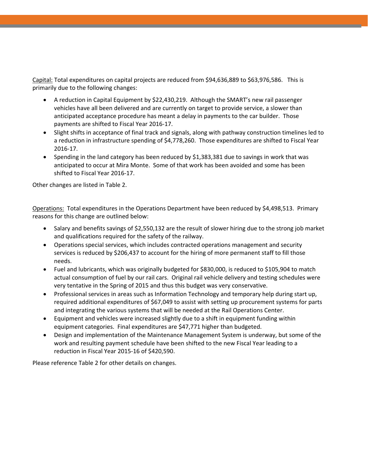Capital: Total expenditures on capital projects are reduced from \$94,636,889 to \$63,976,586. This is primarily due to the following changes:

- A reduction in Capital Equipment by \$22,430,219. Although the SMART's new rail passenger vehicles have all been delivered and are currently on target to provide service, a slower than anticipated acceptance procedure has meant a delay in payments to the car builder. Those payments are shifted to Fiscal Year 2016‐17.
- Slight shifts in acceptance of final track and signals, along with pathway construction timelines led to a reduction in infrastructure spending of \$4,778,260. Those expenditures are shifted to Fiscal Year 2016‐17.
- Spending in the land category has been reduced by \$1,383,381 due to savings in work that was anticipated to occur at Mira Monte. Some of that work has been avoided and some has been shifted to Fiscal Year 2016‐17.

Other changes are listed in Table 2.

Operations: Total expenditures in the Operations Department have been reduced by \$4,498,513. Primary reasons for this change are outlined below:

- Salary and benefits savings of \$2,550,132 are the result of slower hiring due to the strong job market and qualifications required for the safety of the railway.
- Operations special services, which includes contracted operations management and security services is reduced by \$206,437 to account for the hiring of more permanent staff to fill those needs.
- Fuel and lubricants, which was originally budgeted for \$830,000, is reduced to \$105,904 to match actual consumption of fuel by our rail cars. Original rail vehicle delivery and testing schedules were very tentative in the Spring of 2015 and thus this budget was very conservative.
- Professional services in areas such as Information Technology and temporary help during start up, required additional expenditures of \$67,049 to assist with setting up procurement systems for parts and integrating the various systems that will be needed at the Rail Operations Center.
- Equipment and vehicles were increased slightly due to a shift in equipment funding within equipment categories. Final expenditures are \$47,771 higher than budgeted.
- Design and implementation of the Maintenance Management System is underway, but some of the work and resulting payment schedule have been shifted to the new Fiscal Year leading to a reduction in Fiscal Year 2015‐16 of \$420,590.

Please reference Table 2 for other details on changes.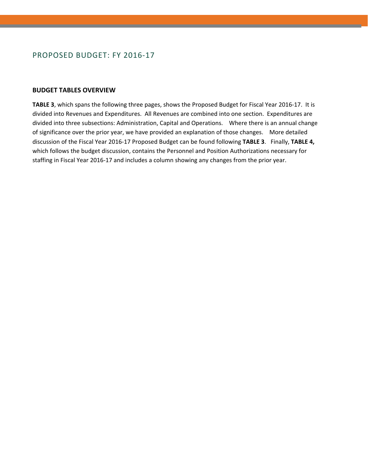### PROPOSED BUDGET: FY 2016‐17

### **BUDGET TABLES OVERVIEW**

**TABLE 3**, which spans the following three pages, shows the Proposed Budget for Fiscal Year 2016‐17. It is divided into Revenues and Expenditures. All Revenues are combined into one section. Expenditures are divided into three subsections: Administration, Capital and Operations. Where there is an annual change of significance over the prior year, we have provided an explanation of those changes. More detailed discussion of the Fiscal Year 2016‐17 Proposed Budget can be found following **TABLE 3**.Finally, **TABLE 4,**  which follows the budget discussion, contains the Personnel and Position Authorizations necessary for staffing in Fiscal Year 2016‐17 and includes a column showing any changes from the prior year.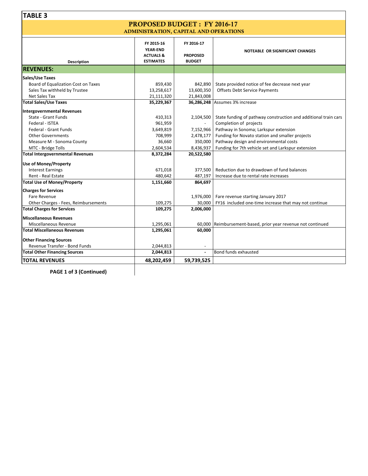### PROPOSED BUDGET : FY 2016-17 ADMINISTRATION, CAPITAL AND OPERATIONS

| FY 2015-16<br>FY 2016-17<br><b>YEAR-END</b><br>NOTEABLE OR SIGNIFICANT CHANGES<br><b>PROPOSED</b><br><b>ACTUALS &amp;</b><br><b>ESTIMATES</b><br><b>BUDGET</b><br><b>Description</b><br><b>REVENUES:</b><br>Sales/Use Taxes<br>Board of Equalization Cost on Taxes<br>859,430<br>State provided notice of fee decrease next year<br>842,890<br><b>Offsets Debt Service Payments</b><br>Sales Tax withheld by Trustee<br>13,258,617<br>13,600,350<br>Net Sales Tax<br>21,111,320<br>21,843,008<br>36,286,248 Assumes 3% increase<br><b>Total Sales/Use Taxes</b><br>35,229,367<br>State - Grant Funds<br>410,313<br>State funding of pathway construction and additional train cars<br>2,104,500<br>Federal - ISTEA<br>961,959<br>Completion of projects<br>Pathway in Sonoma; Larkspur extension<br>Federal - Grant Funds<br>3,649,819<br>7,152,966<br>708,999<br>Funding for Novato station and smaller projects<br><b>Other Governments</b><br>2,478,177<br>Pathway design and environmental costs<br>36,660<br>Measure M - Sonoma County<br>350,000<br>Funding for 7th vehicle set and Larkspur extension<br>MTC - Bridge Tolls<br>2,604,534<br>8,436,937<br><b>Total Intergovernmental Revenues</b><br>8,372,284<br>20,522,580<br>Reduction due to drawdown of fund balances<br><b>Interest Earnings</b><br>671,018<br>377,500<br>Rent - Real Estate<br>480,642<br>487,197<br>Increase due to rental rate increases<br><b>Total Use of Money/Property</b><br>1,151,660<br>864,697<br><b>Charges for Services</b><br>Fare Revenue<br>Fare revenue starting January 2017<br>1,976,000<br>Other Charges - Fees, Reimbursements<br>109,275<br>30,000<br>FY16 included one-time increase that may not continue<br><b>Total Charges for Services</b><br>109,275<br>2,006,000<br><b>Miscellaneous Revenues</b><br>Miscellaneous Revenue<br>60,000 Reimbursement-based, prior year revenue not continued<br>1,295,061<br><b>Total Miscellaneous Revenues</b><br>1,295,061<br>60,000<br><b>Other Financing Sources</b><br>Revenue Transfer - Bond Funds<br>2,044,813<br>$\overline{\phantom{a}}$<br>Bond funds exhausted<br><b>Total Other Financing Sources</b><br>2,044,813<br>$\blacksquare$<br><b>TOTAL REVENUES</b><br>48,202,459<br>59,739,525 |                              |  |  |
|-------------------------------------------------------------------------------------------------------------------------------------------------------------------------------------------------------------------------------------------------------------------------------------------------------------------------------------------------------------------------------------------------------------------------------------------------------------------------------------------------------------------------------------------------------------------------------------------------------------------------------------------------------------------------------------------------------------------------------------------------------------------------------------------------------------------------------------------------------------------------------------------------------------------------------------------------------------------------------------------------------------------------------------------------------------------------------------------------------------------------------------------------------------------------------------------------------------------------------------------------------------------------------------------------------------------------------------------------------------------------------------------------------------------------------------------------------------------------------------------------------------------------------------------------------------------------------------------------------------------------------------------------------------------------------------------------------------------------------------------------------------------------------------------------------------------------------------------------------------------------------------------------------------------------------------------------------------------------------------------------------------------------------------------------------------------------------------------------------------------------------------------------------------------------------------------------------------------------------------------------|------------------------------|--|--|
|                                                                                                                                                                                                                                                                                                                                                                                                                                                                                                                                                                                                                                                                                                                                                                                                                                                                                                                                                                                                                                                                                                                                                                                                                                                                                                                                                                                                                                                                                                                                                                                                                                                                                                                                                                                                                                                                                                                                                                                                                                                                                                                                                                                                                                                 |                              |  |  |
|                                                                                                                                                                                                                                                                                                                                                                                                                                                                                                                                                                                                                                                                                                                                                                                                                                                                                                                                                                                                                                                                                                                                                                                                                                                                                                                                                                                                                                                                                                                                                                                                                                                                                                                                                                                                                                                                                                                                                                                                                                                                                                                                                                                                                                                 |                              |  |  |
|                                                                                                                                                                                                                                                                                                                                                                                                                                                                                                                                                                                                                                                                                                                                                                                                                                                                                                                                                                                                                                                                                                                                                                                                                                                                                                                                                                                                                                                                                                                                                                                                                                                                                                                                                                                                                                                                                                                                                                                                                                                                                                                                                                                                                                                 |                              |  |  |
|                                                                                                                                                                                                                                                                                                                                                                                                                                                                                                                                                                                                                                                                                                                                                                                                                                                                                                                                                                                                                                                                                                                                                                                                                                                                                                                                                                                                                                                                                                                                                                                                                                                                                                                                                                                                                                                                                                                                                                                                                                                                                                                                                                                                                                                 |                              |  |  |
|                                                                                                                                                                                                                                                                                                                                                                                                                                                                                                                                                                                                                                                                                                                                                                                                                                                                                                                                                                                                                                                                                                                                                                                                                                                                                                                                                                                                                                                                                                                                                                                                                                                                                                                                                                                                                                                                                                                                                                                                                                                                                                                                                                                                                                                 |                              |  |  |
|                                                                                                                                                                                                                                                                                                                                                                                                                                                                                                                                                                                                                                                                                                                                                                                                                                                                                                                                                                                                                                                                                                                                                                                                                                                                                                                                                                                                                                                                                                                                                                                                                                                                                                                                                                                                                                                                                                                                                                                                                                                                                                                                                                                                                                                 |                              |  |  |
|                                                                                                                                                                                                                                                                                                                                                                                                                                                                                                                                                                                                                                                                                                                                                                                                                                                                                                                                                                                                                                                                                                                                                                                                                                                                                                                                                                                                                                                                                                                                                                                                                                                                                                                                                                                                                                                                                                                                                                                                                                                                                                                                                                                                                                                 |                              |  |  |
|                                                                                                                                                                                                                                                                                                                                                                                                                                                                                                                                                                                                                                                                                                                                                                                                                                                                                                                                                                                                                                                                                                                                                                                                                                                                                                                                                                                                                                                                                                                                                                                                                                                                                                                                                                                                                                                                                                                                                                                                                                                                                                                                                                                                                                                 |                              |  |  |
|                                                                                                                                                                                                                                                                                                                                                                                                                                                                                                                                                                                                                                                                                                                                                                                                                                                                                                                                                                                                                                                                                                                                                                                                                                                                                                                                                                                                                                                                                                                                                                                                                                                                                                                                                                                                                                                                                                                                                                                                                                                                                                                                                                                                                                                 |                              |  |  |
|                                                                                                                                                                                                                                                                                                                                                                                                                                                                                                                                                                                                                                                                                                                                                                                                                                                                                                                                                                                                                                                                                                                                                                                                                                                                                                                                                                                                                                                                                                                                                                                                                                                                                                                                                                                                                                                                                                                                                                                                                                                                                                                                                                                                                                                 |                              |  |  |
|                                                                                                                                                                                                                                                                                                                                                                                                                                                                                                                                                                                                                                                                                                                                                                                                                                                                                                                                                                                                                                                                                                                                                                                                                                                                                                                                                                                                                                                                                                                                                                                                                                                                                                                                                                                                                                                                                                                                                                                                                                                                                                                                                                                                                                                 | Intergovernmental Revenues   |  |  |
|                                                                                                                                                                                                                                                                                                                                                                                                                                                                                                                                                                                                                                                                                                                                                                                                                                                                                                                                                                                                                                                                                                                                                                                                                                                                                                                                                                                                                                                                                                                                                                                                                                                                                                                                                                                                                                                                                                                                                                                                                                                                                                                                                                                                                                                 |                              |  |  |
|                                                                                                                                                                                                                                                                                                                                                                                                                                                                                                                                                                                                                                                                                                                                                                                                                                                                                                                                                                                                                                                                                                                                                                                                                                                                                                                                                                                                                                                                                                                                                                                                                                                                                                                                                                                                                                                                                                                                                                                                                                                                                                                                                                                                                                                 |                              |  |  |
|                                                                                                                                                                                                                                                                                                                                                                                                                                                                                                                                                                                                                                                                                                                                                                                                                                                                                                                                                                                                                                                                                                                                                                                                                                                                                                                                                                                                                                                                                                                                                                                                                                                                                                                                                                                                                                                                                                                                                                                                                                                                                                                                                                                                                                                 |                              |  |  |
|                                                                                                                                                                                                                                                                                                                                                                                                                                                                                                                                                                                                                                                                                                                                                                                                                                                                                                                                                                                                                                                                                                                                                                                                                                                                                                                                                                                                                                                                                                                                                                                                                                                                                                                                                                                                                                                                                                                                                                                                                                                                                                                                                                                                                                                 |                              |  |  |
|                                                                                                                                                                                                                                                                                                                                                                                                                                                                                                                                                                                                                                                                                                                                                                                                                                                                                                                                                                                                                                                                                                                                                                                                                                                                                                                                                                                                                                                                                                                                                                                                                                                                                                                                                                                                                                                                                                                                                                                                                                                                                                                                                                                                                                                 |                              |  |  |
|                                                                                                                                                                                                                                                                                                                                                                                                                                                                                                                                                                                                                                                                                                                                                                                                                                                                                                                                                                                                                                                                                                                                                                                                                                                                                                                                                                                                                                                                                                                                                                                                                                                                                                                                                                                                                                                                                                                                                                                                                                                                                                                                                                                                                                                 |                              |  |  |
|                                                                                                                                                                                                                                                                                                                                                                                                                                                                                                                                                                                                                                                                                                                                                                                                                                                                                                                                                                                                                                                                                                                                                                                                                                                                                                                                                                                                                                                                                                                                                                                                                                                                                                                                                                                                                                                                                                                                                                                                                                                                                                                                                                                                                                                 |                              |  |  |
|                                                                                                                                                                                                                                                                                                                                                                                                                                                                                                                                                                                                                                                                                                                                                                                                                                                                                                                                                                                                                                                                                                                                                                                                                                                                                                                                                                                                                                                                                                                                                                                                                                                                                                                                                                                                                                                                                                                                                                                                                                                                                                                                                                                                                                                 | <b>Use of Money/Property</b> |  |  |
|                                                                                                                                                                                                                                                                                                                                                                                                                                                                                                                                                                                                                                                                                                                                                                                                                                                                                                                                                                                                                                                                                                                                                                                                                                                                                                                                                                                                                                                                                                                                                                                                                                                                                                                                                                                                                                                                                                                                                                                                                                                                                                                                                                                                                                                 |                              |  |  |
|                                                                                                                                                                                                                                                                                                                                                                                                                                                                                                                                                                                                                                                                                                                                                                                                                                                                                                                                                                                                                                                                                                                                                                                                                                                                                                                                                                                                                                                                                                                                                                                                                                                                                                                                                                                                                                                                                                                                                                                                                                                                                                                                                                                                                                                 |                              |  |  |
|                                                                                                                                                                                                                                                                                                                                                                                                                                                                                                                                                                                                                                                                                                                                                                                                                                                                                                                                                                                                                                                                                                                                                                                                                                                                                                                                                                                                                                                                                                                                                                                                                                                                                                                                                                                                                                                                                                                                                                                                                                                                                                                                                                                                                                                 |                              |  |  |
|                                                                                                                                                                                                                                                                                                                                                                                                                                                                                                                                                                                                                                                                                                                                                                                                                                                                                                                                                                                                                                                                                                                                                                                                                                                                                                                                                                                                                                                                                                                                                                                                                                                                                                                                                                                                                                                                                                                                                                                                                                                                                                                                                                                                                                                 |                              |  |  |
|                                                                                                                                                                                                                                                                                                                                                                                                                                                                                                                                                                                                                                                                                                                                                                                                                                                                                                                                                                                                                                                                                                                                                                                                                                                                                                                                                                                                                                                                                                                                                                                                                                                                                                                                                                                                                                                                                                                                                                                                                                                                                                                                                                                                                                                 |                              |  |  |
|                                                                                                                                                                                                                                                                                                                                                                                                                                                                                                                                                                                                                                                                                                                                                                                                                                                                                                                                                                                                                                                                                                                                                                                                                                                                                                                                                                                                                                                                                                                                                                                                                                                                                                                                                                                                                                                                                                                                                                                                                                                                                                                                                                                                                                                 |                              |  |  |
|                                                                                                                                                                                                                                                                                                                                                                                                                                                                                                                                                                                                                                                                                                                                                                                                                                                                                                                                                                                                                                                                                                                                                                                                                                                                                                                                                                                                                                                                                                                                                                                                                                                                                                                                                                                                                                                                                                                                                                                                                                                                                                                                                                                                                                                 |                              |  |  |
|                                                                                                                                                                                                                                                                                                                                                                                                                                                                                                                                                                                                                                                                                                                                                                                                                                                                                                                                                                                                                                                                                                                                                                                                                                                                                                                                                                                                                                                                                                                                                                                                                                                                                                                                                                                                                                                                                                                                                                                                                                                                                                                                                                                                                                                 |                              |  |  |
|                                                                                                                                                                                                                                                                                                                                                                                                                                                                                                                                                                                                                                                                                                                                                                                                                                                                                                                                                                                                                                                                                                                                                                                                                                                                                                                                                                                                                                                                                                                                                                                                                                                                                                                                                                                                                                                                                                                                                                                                                                                                                                                                                                                                                                                 |                              |  |  |
|                                                                                                                                                                                                                                                                                                                                                                                                                                                                                                                                                                                                                                                                                                                                                                                                                                                                                                                                                                                                                                                                                                                                                                                                                                                                                                                                                                                                                                                                                                                                                                                                                                                                                                                                                                                                                                                                                                                                                                                                                                                                                                                                                                                                                                                 |                              |  |  |
|                                                                                                                                                                                                                                                                                                                                                                                                                                                                                                                                                                                                                                                                                                                                                                                                                                                                                                                                                                                                                                                                                                                                                                                                                                                                                                                                                                                                                                                                                                                                                                                                                                                                                                                                                                                                                                                                                                                                                                                                                                                                                                                                                                                                                                                 |                              |  |  |
|                                                                                                                                                                                                                                                                                                                                                                                                                                                                                                                                                                                                                                                                                                                                                                                                                                                                                                                                                                                                                                                                                                                                                                                                                                                                                                                                                                                                                                                                                                                                                                                                                                                                                                                                                                                                                                                                                                                                                                                                                                                                                                                                                                                                                                                 |                              |  |  |
|                                                                                                                                                                                                                                                                                                                                                                                                                                                                                                                                                                                                                                                                                                                                                                                                                                                                                                                                                                                                                                                                                                                                                                                                                                                                                                                                                                                                                                                                                                                                                                                                                                                                                                                                                                                                                                                                                                                                                                                                                                                                                                                                                                                                                                                 |                              |  |  |
|                                                                                                                                                                                                                                                                                                                                                                                                                                                                                                                                                                                                                                                                                                                                                                                                                                                                                                                                                                                                                                                                                                                                                                                                                                                                                                                                                                                                                                                                                                                                                                                                                                                                                                                                                                                                                                                                                                                                                                                                                                                                                                                                                                                                                                                 |                              |  |  |

**PAGE 1 of 3 (Continued)**

 $\overline{\phantom{a}}$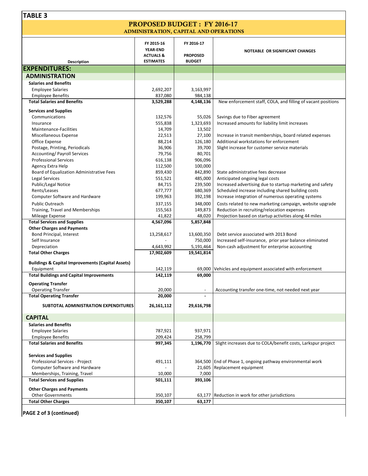### PROPOSED BUDGET : FY 2016-17 ADMINISTRATION, CAPITAL AND OPERATIONS

| Description                                                   | FY 2015-16<br><b>YEAR-END</b><br><b>ACTUALS &amp;</b><br><b>ESTIMATES</b> | FY 2016-17<br><b>PROPOSED</b><br><b>BUDGET</b> | NOTEABLE OR SIGNIFICANT CHANGES                              |
|---------------------------------------------------------------|---------------------------------------------------------------------------|------------------------------------------------|--------------------------------------------------------------|
| <b>EXPENDITURES:</b>                                          |                                                                           |                                                |                                                              |
|                                                               |                                                                           |                                                |                                                              |
| <b>ADMINISTRATION</b>                                         |                                                                           |                                                |                                                              |
| <b>Salaries and Benefits</b>                                  |                                                                           |                                                |                                                              |
| <b>Employee Salaries</b>                                      | 2,692,207                                                                 | 3,163,997                                      |                                                              |
| <b>Employee Benefits</b>                                      | 837,080                                                                   | 984,138                                        |                                                              |
| <b>Total Salaries and Benefits</b>                            | 3,529,288                                                                 | 4,148,136                                      | New enforcement staff, COLA, and filling of vacant positions |
| <b>Services and Supplies</b>                                  |                                                                           |                                                |                                                              |
| Communications                                                | 132,576                                                                   | 55,026                                         | Savings due to Fiber agreement                               |
| Insurance                                                     | 555,838                                                                   | 1,323,693                                      | Increased amounts for liability limit increases              |
| Maintenance-Facilities                                        | 14,709                                                                    | 13,502                                         |                                                              |
| Miscellaneous Expense                                         | 22,513                                                                    | 27,100                                         | Increase in transit memberships, board related expenses      |
| Office Expense                                                | 88,214                                                                    | 126,180                                        | Additional workstations for enforcement                      |
| Postage, Printing, Periodicals                                | 36,906                                                                    | 39,700                                         | Slight increase for customer service materials               |
| <b>Accounting/Payroll Services</b>                            | 79,756                                                                    | 80,701                                         |                                                              |
| <b>Professional Services</b>                                  | 616,138                                                                   | 906,096                                        |                                                              |
| Agency Extra Help                                             | 112,500                                                                   | 100,000                                        |                                                              |
| Board of Equalization Administrative Fees                     | 859,430                                                                   | 842,890                                        | State administrative fees decrease                           |
| <b>Legal Services</b>                                         | 551,521                                                                   | 485,000                                        | Anticipated ongoing legal costs                              |
| Public/Legal Notice                                           | 84,715                                                                    | 239,500                                        | Increased advertising due to startup marketing and safety    |
| Rents/Leases                                                  | 677,777                                                                   | 680,369                                        | Scheduled increase including shared building costs           |
| Computer Software and Hardware                                | 199,963                                                                   | 392,198                                        | Increase integration of numerous operating systems           |
| <b>Public Outreach</b>                                        | 337,155                                                                   | 348,000                                        | Costs related to new marketing campaign, website upgrade     |
| Training, Travel and Memberships                              | 155,563                                                                   | 149,873                                        | Reduction in recruiting/relocation expenses                  |
| Mileage Expense                                               | 41,822                                                                    | 48,020                                         | Projection based on startup activities along 44 miles        |
| <b>Total Services and Supplies</b>                            | 4,567,096                                                                 | 5,857,848                                      |                                                              |
| <b>Other Charges and Payments</b><br>Bond Principal, Interest |                                                                           | 13,600,350                                     | Debt service associated with 2013 Bond                       |
| Self Insurance                                                | 13,258,617                                                                | 750,000                                        | Increased self-insurance, prior year balance eliminated      |
| Depreciation                                                  | 4,643,992                                                                 | 5,191,464                                      | Non-cash adjustment for enterprise accounting                |
| <b>Total Other Charges</b>                                    | 17,902,609                                                                | 19,541,814                                     |                                                              |
|                                                               |                                                                           |                                                |                                                              |
| <b>Buildings &amp; Capital Improvements (Capital Assets)</b>  |                                                                           |                                                |                                                              |
| Equipment                                                     | 142,119                                                                   | 69,000                                         | Vehicles and equipment associated with enforcement           |
| <b>Total Buildings and Capital Improvements</b>               | 142,119                                                                   | 69,000                                         |                                                              |
| <b>Operating Transfer</b>                                     |                                                                           |                                                |                                                              |
| <b>Operating Transfer</b>                                     | 20,000                                                                    | $\blacksquare$                                 | Accounting transfer one-time, not needed next year           |
| <b>Total Operating Transfer</b>                               | 20,000                                                                    |                                                |                                                              |
| SUBTOTAL ADMINISTRATION EXPENDITURES                          | 26,161,112                                                                | 29,616,798                                     |                                                              |
| <b>CAPITAL</b>                                                |                                                                           |                                                |                                                              |
| <b>Salaries and Benefits</b>                                  |                                                                           |                                                |                                                              |
| <b>Employee Salaries</b>                                      | 787,921                                                                   | 937,971                                        |                                                              |
| <b>Employee Benefits</b>                                      | 209,424                                                                   | 258,799                                        |                                                              |
| <b>Total Salaries and Benefits</b>                            | 997,345                                                                   | 1,196,770                                      | Slight increases due to COLA/benefit costs, Larkspur project |
|                                                               |                                                                           |                                                |                                                              |
| <b>Services and Supplies</b>                                  |                                                                           |                                                |                                                              |
| Professional Services - Project                               | 491,111                                                                   |                                                | 364,500 End of Phase 1, ongoing pathway environmental work   |
| Computer Software and Hardware                                |                                                                           | 21,605                                         | Replacement equipment                                        |
| Memberships, Training, Travel                                 | 10,000                                                                    | 7,000                                          |                                                              |
| <b>Total Services and Supplies</b>                            | 501,111                                                                   | 393,106                                        |                                                              |
| <b>Other Charges and Payments</b>                             |                                                                           |                                                |                                                              |
| <b>Other Governments</b>                                      | 350,107                                                                   |                                                | 63,177 Reduction in work for other jurisdictions             |
| <b>Total Other Charges</b>                                    | 350,107                                                                   | 63,177                                         |                                                              |
|                                                               |                                                                           |                                                |                                                              |

**PAGE 2 of 3 (continued)**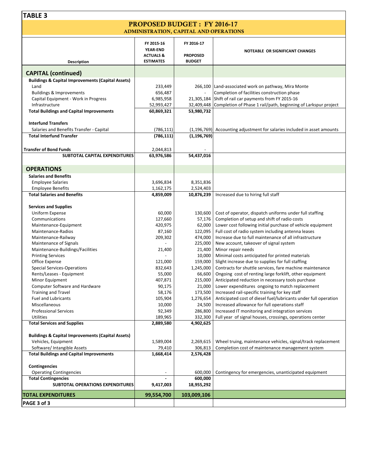### PROPOSED BUDGET : FY 2016-17 ADMINISTRATION, CAPITAL AND OPERATIONS

|                                                              | FY 2015-16                               | FY 2016-17                       |                                                                 |
|--------------------------------------------------------------|------------------------------------------|----------------------------------|-----------------------------------------------------------------|
|                                                              | <b>YEAR-END</b>                          |                                  | <b>NOTEABLE OR SIGNIFICANT CHANGES</b>                          |
| <b>Description</b>                                           | <b>ACTUALS &amp;</b><br><b>ESTIMATES</b> | <b>PROPOSED</b><br><b>BUDGET</b> |                                                                 |
| <b>CAPITAL (continued)</b>                                   |                                          |                                  |                                                                 |
| <b>Buildings &amp; Capital Improvements (Capital Assets)</b> |                                          |                                  |                                                                 |
| Land                                                         | 233,449                                  |                                  | 266,100 Land-associated work on pathway, Mira Monte             |
| <b>Buildings &amp; Improvements</b>                          | 656,487                                  |                                  | Completion of facilities construction phase                     |
| Capital Equipment - Work in Progress                         | 6,985,958                                | 21,305,184                       | Shift of rail car payments from FY 2015-16                      |
| Infrastructure                                               | 52,993,427                               | 32,409,448                       | Completion of Phase 1 rail/path, beginning of Larkspur project  |
| <b>Total Buildings and Capital Improvements</b>              | 60,869,321                               | 53,980,732                       |                                                                 |
|                                                              |                                          |                                  |                                                                 |
| <b>Interfund Transfers</b>                                   |                                          |                                  |                                                                 |
| Salaries and Benefits Transfer - Capital                     | (786, 111)                               | (1, 196, 769)                    | Accounting adjustment for salaries included in asset amounts    |
| <b>Total Interfund Transfer</b>                              | (786, 111)                               | (1, 196, 769)                    |                                                                 |
|                                                              |                                          |                                  |                                                                 |
| <b>Transfer of Bond Funds</b>                                | 2,044,813                                |                                  |                                                                 |
| SUBTOTAL CAPITAL EXPENDITURES                                | 63,976,586                               | 54,437,016                       |                                                                 |
|                                                              |                                          |                                  |                                                                 |
| <b>OPERATIONS</b>                                            |                                          |                                  |                                                                 |
| <b>Salaries and Benefits</b>                                 |                                          |                                  |                                                                 |
| <b>Employee Salaries</b>                                     | 3,696,834                                | 8,351,836                        |                                                                 |
| <b>Employee Benefits</b>                                     | 1,162,175                                | 2,524,403                        |                                                                 |
| <b>Total Salaries and Benefits</b>                           | 4,859,009                                | 10,876,239                       | Increased due to hiring full staff                              |
|                                                              |                                          |                                  |                                                                 |
| <b>Services and Supplies</b>                                 |                                          |                                  |                                                                 |
| Uniform Expense                                              | 60,000                                   | 130,600                          | Cost of operator, dispatch uniforms under full staffing         |
| Communications                                               | 127,660                                  | 57,176                           | Completion of setup and shift of radio costs                    |
| Maintenance-Equipment                                        | 420,975                                  | 62,000                           | Lower cost following initial purchase of vehicle equipment      |
| Maintenance-Radios                                           | 87,160                                   | 122,095                          | Full cost of radio system including antenna leases              |
| Maintenance-Railway                                          | 209,302                                  | 474,000                          | Increase due to full maintenance of all infrastructure          |
| Maintenance of Signals                                       |                                          | 225,000                          | New account, takeover of signal system                          |
| Maintenance-Buildings/Facilities                             | 21,400                                   | 21,400                           | Minor repair needs                                              |
| <b>Printing Services</b>                                     |                                          | 10,000                           | Minimal costs anticipated for printed materials                 |
| Office Expense                                               | 121,000                                  | 159,000                          | Slight increase due to supplies for full staffing               |
| <b>Special Services-Operations</b>                           | 832,643                                  | 1,245,000                        | Contracts for shuttle services, fare machine maintenance        |
| Rents/Leases - Equipment                                     | 55,000                                   | 66,600                           | Ongoing cost of renting large forklift, other equipment         |
| Minor Equipment                                              | 407,871                                  | 215,000                          | Anticipated reduction in necessary tools purchase               |
| Computer Software and Hardware                               | 90,175                                   | 21,000                           | Lower expenditures ongoing to match replacement                 |
| <b>Training and Travel</b>                                   | 58,176                                   | 173,500                          | Increased rail-specific training for key staff                  |
| <b>Fuel and Lubricants</b>                                   | 105,904                                  | 1,276,654                        | Anticipated cost of diesel fuel/lubricants under full operation |
| Miscellaneous                                                | 10,000                                   | 24,500                           | Increased allowance for full operations staff                   |
| <b>Professional Services</b>                                 | 92,349                                   | 286,800                          | Increased IT monitoring and integration services                |
| Utilities                                                    | 189,965                                  | 332,300                          | Full year of signal houses, crossings, operations center        |
| <b>Total Services and Supplies</b>                           | 2,889,580                                | 4,902,625                        |                                                                 |
| <b>Buildings &amp; Capital Improvements (Capital Assets)</b> |                                          |                                  |                                                                 |
| Vehicles, Equipment                                          | 1,589,004                                | 2,269,615                        | Wheel truing, maintenance vehicles, signal/track replacement    |
| Software/ Intangible Assets                                  | 79,410                                   | 306,813                          | Completion cost of maintenance management system                |
| <b>Total Buildings and Capital Improvements</b>              | 1,668,414                                | 2,576,428                        |                                                                 |
|                                                              |                                          |                                  |                                                                 |
| Contingencies                                                |                                          |                                  |                                                                 |
| <b>Operating Contingencies</b>                               |                                          | 600,000                          | Contingency for emergencies, unanticipated equipment            |
| <b>Total Contingencies</b>                                   |                                          | 600,000                          |                                                                 |
| SUBTOTAL OPERATIONS EXPENDITURES                             | 9,417,003                                | 18,955,292                       |                                                                 |
| <b>TOTAL EXPENDITURES</b>                                    | 99,554,700                               | 103,009,106                      |                                                                 |
|                                                              |                                          |                                  |                                                                 |
| PAGE 3 of 3                                                  |                                          |                                  |                                                                 |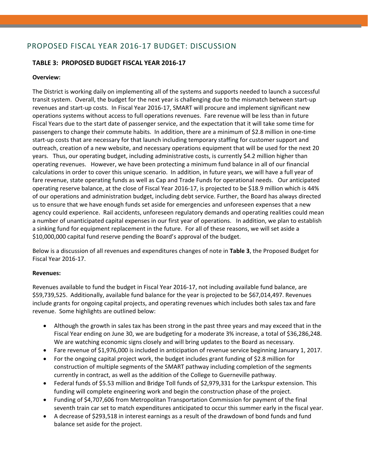### PROPOSED FISCAL YEAR 2016‐17 BUDGET: DISCUSSION

### **TABLE 3: PROPOSED BUDGET FISCAL YEAR 2016‐17**

### **Overview:**

The District is working daily on implementing all of the systems and supports needed to launch a successful transit system. Overall, the budget for the next year is challenging due to the mismatch between start‐up revenues and start‐up costs. In Fiscal Year 2016‐17, SMART will procure and implement significant new operations systems without access to full operations revenues. Fare revenue will be less than in future Fiscal Years due to the start date of passenger service, and the expectation that it will take some time for passengers to change their commute habits. In addition, there are a minimum of \$2.8 million in one‐time start-up costs that are necessary for that launch including temporary staffing for customer support and outreach, creation of a new website, and necessary operations equipment that will be used for the next 20 years. Thus, our operating budget, including administrative costs, is currently \$4.2 million higher than operating revenues. However, we have been protecting a minimum fund balance in all of our financial calculations in order to cover this unique scenario. In addition, in future years, we will have a full year of fare revenue, state operating funds as well as Cap and Trade Funds for operational needs. Our anticipated operating reserve balance, at the close of Fiscal Year 2016‐17, is projected to be \$18.9 million which is 44% of our operations and administration budget, including debt service. Further, the Board has always directed us to ensure that we have enough funds set aside for emergencies and unforeseen expenses that a new agency could experience. Rail accidents, unforeseen regulatory demands and operating realities could mean a number of unanticipated capital expenses in our first year of operations. In addition, we plan to establish a sinking fund for equipment replacement in the future. For all of these reasons, we will set aside a \$10,000,000 capital fund reserve pending the Board's approval of the budget.

Below is a discussion of all revenues and expenditures changes of note in **Table 3**, the Proposed Budget for Fiscal Year 2016‐17.

#### **Revenues:**

Revenues available to fund the budget in Fiscal Year 2016‐17, not including available fund balance, are \$59,739,525. Additionally, available fund balance for the year is projected to be \$67,014,497. Revenues include grants for ongoing capital projects, and operating revenues which includes both sales tax and fare revenue. Some highlights are outlined below:

- Although the growth in sales tax has been strong in the past three years and may exceed that in the Fiscal Year ending on June 30, we are budgeting for a moderate 3% increase, a total of \$36,286,248. We are watching economic signs closely and will bring updates to the Board as necessary.
- Fare revenue of \$1,976,000 is included in anticipation of revenue service beginning January 1, 2017.
- For the ongoing capital project work, the budget includes grant funding of \$2.8 million for construction of multiple segments of the SMART pathway including completion of the segments currently in contract, as well as the addition of the College to Guerneville pathway.
- Federal funds of \$5.53 million and Bridge Toll funds of \$2,979,331 for the Larkspur extension. This funding will complete engineering work and begin the construction phase of the project.
- Funding of \$4,707,606 from Metropolitan Transportation Commission for payment of the final seventh train car set to match expenditures anticipated to occur this summer early in the fiscal year.
- A decrease of \$293,518 in interest earnings as a result of the drawdown of bond funds and fund balance set aside for the project.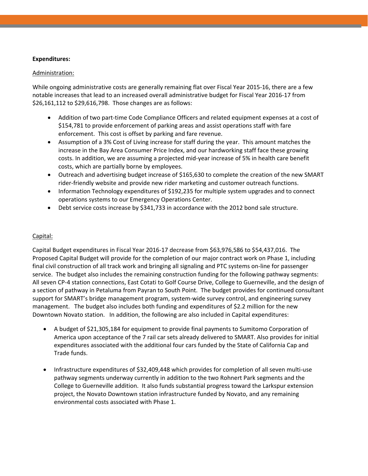### **Expenditures:**

### Administration:

While ongoing administrative costs are generally remaining flat over Fiscal Year 2015-16, there are a few notable increases that lead to an increased overall administrative budget for Fiscal Year 2016‐17 from \$26,161,112 to \$29,616,798. Those changes are as follows:

- Addition of two part-time Code Compliance Officers and related equipment expenses at a cost of \$154,781 to provide enforcement of parking areas and assist operations staff with fare enforcement. This cost is offset by parking and fare revenue.
- Assumption of a 3% Cost of Living increase for staff during the year. This amount matches the increase in the Bay Area Consumer Price Index, and our hardworking staff face these growing costs. In addition, we are assuming a projected mid‐year increase of 5% in health care benefit costs, which are partially borne by employees.
- Outreach and advertising budget increase of \$165,630 to complete the creation of the new SMART rider-friendly website and provide new rider marketing and customer outreach functions.
- Information Technology expenditures of \$192,235 for multiple system upgrades and to connect operations systems to our Emergency Operations Center.
- Debt service costs increase by \$341,733 in accordance with the 2012 bond sale structure.

### Capital:

Capital Budget expenditures in Fiscal Year 2016‐17 decrease from \$63,976,586 to \$54,437,016. The Proposed Capital Budget will provide for the completion of our major contract work on Phase 1, including final civil construction of all track work and bringing all signaling and PTC systems on‐line for passenger service. The budget also includes the remaining construction funding for the following pathway segments: All seven CP‐4 station connections, East Cotati to Golf Course Drive, College to Guerneville, and the design of a section of pathway in Petaluma from Payran to South Point. The budget provides for continued consultant support for SMART's bridge management program, system-wide survey control, and engineering survey management. The budget also includes both funding and expenditures of \$2.2 million for the new Downtown Novato station. In addition, the following are also included in Capital expenditures:

- A budget of \$21,305,184 for equipment to provide final payments to Sumitomo Corporation of America upon acceptance of the 7 rail car sets already delivered to SMART. Also provides for initial expenditures associated with the additional four cars funded by the State of California Cap and Trade funds.
- Infrastructure expenditures of \$32,409,448 which provides for completion of all seven multi‐use pathway segments underway currently in addition to the two Rohnert Park segments and the College to Guerneville addition. It also funds substantial progress toward the Larkspur extension project, the Novato Downtown station infrastructure funded by Novato, and any remaining environmental costs associated with Phase 1.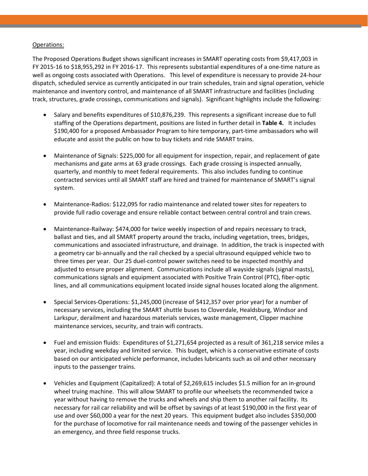### Operations:

The Proposed Operations Budget shows significant increases in SMART operating costs from \$9,417,003 in FY 2015‐16 to \$18,955,292 in FY 2016‐17. This represents substantial expenditures of a one‐time nature as well as ongoing costs associated with Operations. This level of expenditure is necessary to provide 24‐hour dispatch, scheduled service as currently anticipated in our train schedules, train and signal operation, vehicle maintenance and inventory control, and maintenance of all SMART infrastructure and facilities (including track, structures, grade crossings, communications and signals). Significant highlights include the following:

- Salary and benefits expenditures of \$10,876,239. This represents a significant increase due to full staffing of the Operations department, positions are listed in further detail in **Table 4.** It includes \$190,400 for a proposed Ambassador Program to hire temporary, part‐time ambassadors who will educate and assist the public on how to buy tickets and ride SMART trains.
- Maintenance of Signals: \$225,000 for all equipment for inspection, repair, and replacement of gate mechanisms and gate arms at 63 grade crossings. Each grade crossing is inspected annually, quarterly, and monthly to meet federal requirements. This also includes funding to continue contracted services until all SMART staff are hired and trained for maintenance of SMART's signal system.
- Maintenance‐Radios: \$122,095 for radio maintenance and related tower sites for repeaters to provide full radio coverage and ensure reliable contact between central control and train crews.
- Maintenance‐Railway: \$474,000 for twice weekly inspection of and repairs necessary to track, ballast and ties, and all SMART property around the tracks, including vegetation, trees, bridges, communications and associated infrastructure, and drainage. In addition, the track is inspected with a geometry car bi‐annually and the rail checked by a special ultrasound equipped vehicle two to three times per year. Our 25 duel‐control power switches need to be inspected monthly and adjusted to ensure proper alignment. Communications include all wayside signals (signal masts), communications signals and equipment associated with Positive Train Control (PTC), fiber‐optic lines, and all communications equipment located inside signal houses located along the alignment.
- Special Services‐Operations: \$1,245,000 (increase of \$412,357 over prior year) for a number of necessary services, including the SMART shuttle buses to Cloverdale, Healdsburg, Windsor and Larkspur, derailment and hazardous materials services, waste management, Clipper machine maintenance services, security, and train wifi contracts.
- Fuel and emission fluids: Expenditures of \$1,271,654 projected as a result of 361,218 service miles a year, including weekday and limited service. This budget, which is a conservative estimate of costs based on our anticipated vehicle performance, includes lubricants such as oil and other necessary inputs to the passenger trains.
- Vehicles and Equipment (Capitalized): A total of \$2,269,615 includes \$1.5 million for an in‐ground wheel truing machine. This will allow SMART to profile our wheelsets the recommended twice a year without having to remove the trucks and wheels and ship them to another rail facility. Its necessary for rail car reliability and will be offset by savings of at least \$190,000 in the first year of use and over \$60,000 a year for the next 20 years. This equipment budget also includes \$350,000 for the purchase of locomotive for rail maintenance needs and towing of the passenger vehicles in an emergency, and three field response trucks.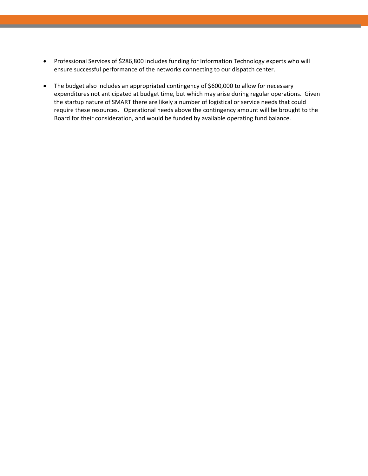- Professional Services of \$286,800 includes funding for Information Technology experts who will ensure successful performance of the networks connecting to our dispatch center.
- The budget also includes an appropriated contingency of \$600,000 to allow for necessary expenditures not anticipated at budget time, but which may arise during regular operations. Given the startup nature of SMART there are likely a number of logistical or service needs that could require these resources. Operational needs above the contingency amount will be brought to the Board for their consideration, and would be funded by available operating fund balance.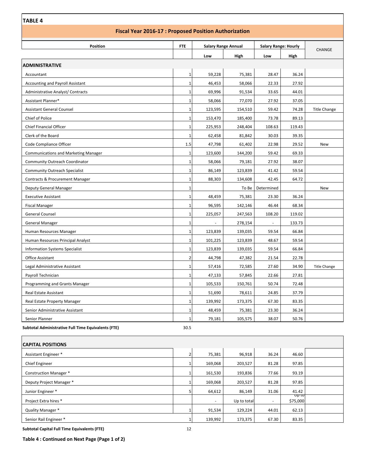### **Fiscal Year 2016‐17 : Proposed Position Authorization**

| <b>Position</b>                                     | <b>FTE</b>     |         | <b>Salary Range Annual</b> |            | <b>Salary Range: Hourly</b> |                     |
|-----------------------------------------------------|----------------|---------|----------------------------|------------|-----------------------------|---------------------|
|                                                     |                | Low     | High                       | Low        | High                        | <b>CHANGE</b>       |
| <b>ADMINISTRATIVE</b>                               |                |         |                            |            |                             |                     |
| Accountant                                          | $\mathbf{1}$   | 59,228  | 75,381                     | 28.47      | 36.24                       |                     |
| <b>Accounting and Payroll Assistant</b>             | $\mathbf{1}$   | 46,453  | 58,066                     | 22.33      | 27.92                       |                     |
| <b>Administrative Analyst/ Contracts</b>            | $\mathbf{1}$   | 69,996  | 91,534                     | 33.65      | 44.01                       |                     |
| Assistant Planner*                                  | $\mathbf{1}$   | 58,066  | 77,070                     | 27.92      | 37.05                       |                     |
| <b>Assistant General Counsel</b>                    | $\mathbf{1}$   | 123,595 | 154,510                    | 59.42      | 74.28                       | <b>Title Change</b> |
| Chief of Police                                     | $\mathbf{1}$   | 153,470 | 185,400                    | 73.78      | 89.13                       |                     |
| Chief Financial Officer                             | $\mathbf{1}$   | 225,953 | 248,404                    | 108.63     | 119.43                      |                     |
| Clerk of the Board                                  | $\mathbf{1}$   | 62,458  | 81,842                     | 30.03      | 39.35                       |                     |
| Code Compliance Officer                             | 1.5            | 47,798  | 61,402                     | 22.98      | 29.52                       | New                 |
| <b>Communications and Marketing Manager</b>         | $\mathbf{1}$   | 123,600 | 144,200                    | 59.42      | 69.33                       |                     |
| <b>Community Outreach Coordinator</b>               | $\mathbf{1}$   | 58,066  | 79,181                     | 27.92      | 38.07                       |                     |
| <b>Community Outreach Specialist</b>                | $\mathbf{1}$   | 86,149  | 123,839                    | 41.42      | 59.54                       |                     |
| <b>Contracts &amp; Procurement Manager</b>          | $\mathbf{1}$   | 88,303  | 134,608                    | 42.45      | 64.72                       |                     |
| Deputy General Manager                              | $\mathbf{1}$   |         | To Be                      | Determined |                             | New                 |
| <b>Executive Assistant</b>                          | $\mathbf{1}$   | 48,459  | 75,381                     | 23.30      | 36.24                       |                     |
| <b>Fiscal Manager</b>                               | $\mathbf{1}$   | 96,595  | 142,146                    | 46.44      | 68.34                       |                     |
| <b>General Counsel</b>                              | $\mathbf{1}$   | 225,057 | 247,563                    | 108.20     | 119.02                      |                     |
| <b>General Manager</b>                              | $\mathbf{1}$   |         | 278,154                    |            | 133.73                      |                     |
| Human Resources Manager                             | $\mathbf{1}$   | 123,839 | 139,035                    | 59.54      | 66.84                       |                     |
| Human Resources Principal Analyst                   | $\mathbf{1}$   | 101,225 | 123,839                    | 48.67      | 59.54                       |                     |
| <b>Information Systems Specialist</b>               | $\mathbf{1}$   | 123,839 | 139,035                    | 59.54      | 66.84                       |                     |
| <b>Office Assistant</b>                             | $\overline{2}$ | 44,798  | 47,382                     | 21.54      | 22.78                       |                     |
| Legal Administrative Assistant                      | $\mathbf{1}$   | 57,416  | 72,585                     | 27.60      | 34.90                       | <b>Title Change</b> |
| Payroll Technician                                  | $\mathbf{1}$   | 47,133  | 57,845                     | 22.66      | 27.81                       |                     |
| Programming and Grants Manager                      | $\mathbf{1}$   | 105,533 | 150,761                    | 50.74      | 72.48                       |                     |
| <b>Real Estate Assistant</b>                        | $\mathbf{1}$   | 51,690  | 78,611                     | 24.85      | 37.79                       |                     |
| Real Estate Property Manager                        | $\mathbf{1}$   | 139,992 | 173,375                    | 67.30      | 83.35                       |                     |
| Senior Administrative Assistant                     | $\mathbf{1}$   | 48,459  | 75,381                     | 23.30      | 36.24                       |                     |
| Senior Planner                                      | $\mathbf{1}$   | 79,181  | 105,575                    | 38.07      | 50.76                       |                     |
| Subtotal Administrative Full Time Equivalents (FTE) | 30.5           |         |                            |            |                             |                     |

| <b>CAPITAL POSITIONS</b> |
|--------------------------|

| ILAPITAL POSITIONS            |                          |             |       |                    |  |
|-------------------------------|--------------------------|-------------|-------|--------------------|--|
| Assistant Engineer *          | 75,381                   | 96,918      | 36.24 | 46.60              |  |
| Chief Engineer                | 169,068                  | 203,527     | 81.28 | 97.85              |  |
| <b>Construction Manager *</b> | 161,530                  | 193,836     | 77.66 | 93.19              |  |
| Deputy Project Manager *      | 169,068                  | 203,527     | 81.28 | 97.85              |  |
| Junior Engineer *             | 64,612                   | 86,149      | 31.06 | 41.42              |  |
| Project Extra hires *         | $\overline{\phantom{a}}$ | Up to total | ٠     | -υρ το<br>\$75,000 |  |
| Quality Manager *             | 91,534                   | 129,224     | 44.01 | 62.13              |  |
| Senior Rail Engineer *        | 139,992                  | 173,375     | 67.30 | 83.35              |  |

**Subtotal Capital Full Time Equivalents (FTE)** 12

**Table 4 : Continued on Next Page (Page 1 of 2)**